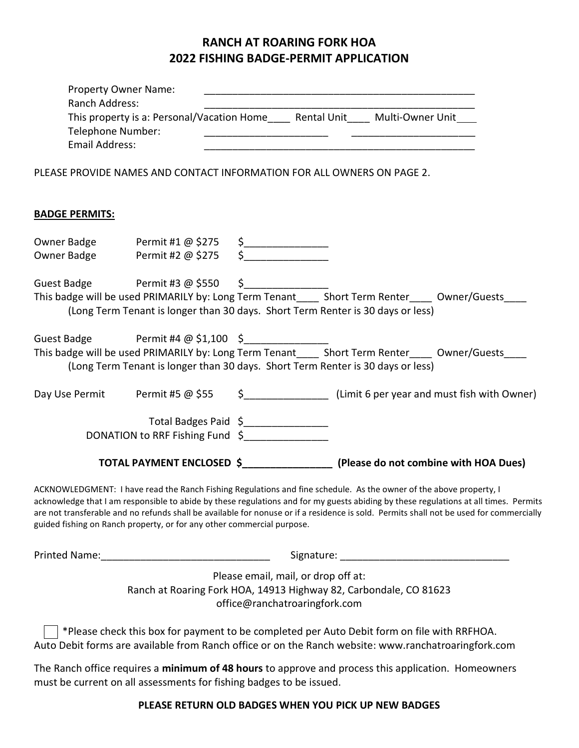## RANCH AT ROARING FORK HOA 2022 FISHING BADGE-PERMIT APPLICATION

|  | Property Owner Name:<br>Ranch Address:<br>Telephone Number:<br><b>Email Address:</b> |                                                                        |                                                                      | This property is a: Personal/Vacation Home____ Rental Unit____ Multi-Owner Unit___<br><u> 1980 - Jan James James Barnett, amerikan bizko bat da bat da bat da bat da bat da bat da bat da bat da bat d</u>                                                                                                                                                                                            |  |
|--|--------------------------------------------------------------------------------------|------------------------------------------------------------------------|----------------------------------------------------------------------|-------------------------------------------------------------------------------------------------------------------------------------------------------------------------------------------------------------------------------------------------------------------------------------------------------------------------------------------------------------------------------------------------------|--|
|  |                                                                                      |                                                                        |                                                                      | PLEASE PROVIDE NAMES AND CONTACT INFORMATION FOR ALL OWNERS ON PAGE 2.                                                                                                                                                                                                                                                                                                                                |  |
|  | <b>BADGE PERMITS:</b>                                                                |                                                                        |                                                                      |                                                                                                                                                                                                                                                                                                                                                                                                       |  |
|  |                                                                                      |                                                                        |                                                                      |                                                                                                                                                                                                                                                                                                                                                                                                       |  |
|  |                                                                                      | Owner Badge Permit #1 @ \$275 \$<br>mer Badge Permit #2 @ \$275 \$     |                                                                      |                                                                                                                                                                                                                                                                                                                                                                                                       |  |
|  |                                                                                      | Guest Badge Permit #3 @ \$550 \$                                       |                                                                      |                                                                                                                                                                                                                                                                                                                                                                                                       |  |
|  |                                                                                      |                                                                        |                                                                      | This badge will be used PRIMARILY by: Long Term Tenant_____ Short Term Renter____ Owner/Guests____                                                                                                                                                                                                                                                                                                    |  |
|  |                                                                                      |                                                                        |                                                                      | (Long Term Tenant is longer than 30 days. Short Term Renter is 30 days or less)                                                                                                                                                                                                                                                                                                                       |  |
|  |                                                                                      | Guest Badge Permit #4 @ \$1,100 \$                                     |                                                                      |                                                                                                                                                                                                                                                                                                                                                                                                       |  |
|  |                                                                                      |                                                                        |                                                                      | This badge will be used PRIMARILY by: Long Term Tenant_____ Short Term Renter_____ Owner/Guests____                                                                                                                                                                                                                                                                                                   |  |
|  |                                                                                      |                                                                        |                                                                      | (Long Term Tenant is longer than 30 days. Short Term Renter is 30 days or less)                                                                                                                                                                                                                                                                                                                       |  |
|  |                                                                                      |                                                                        |                                                                      | Day Use Permit Permit #5 @ \$55 \$_____________________ (Limit 6 per year and must fish with Owner)                                                                                                                                                                                                                                                                                                   |  |
|  |                                                                                      | Total Badges Paid \$________________                                   |                                                                      |                                                                                                                                                                                                                                                                                                                                                                                                       |  |
|  |                                                                                      | DONATION to RRF Fishing Fund \$                                        |                                                                      |                                                                                                                                                                                                                                                                                                                                                                                                       |  |
|  |                                                                                      |                                                                        |                                                                      |                                                                                                                                                                                                                                                                                                                                                                                                       |  |
|  |                                                                                      |                                                                        |                                                                      | TOTAL PAYMENT ENCLOSED \$____________________ (Please do not combine with HOA Dues)                                                                                                                                                                                                                                                                                                                   |  |
|  |                                                                                      | guided fishing on Ranch property, or for any other commercial purpose. |                                                                      | ACKNOWLEDGMENT: I have read the Ranch Fishing Regulations and fine schedule. As the owner of the above property, I<br>acknowledge that I am responsible to abide by these regulations and for my guests abiding by these regulations at all times. Permits<br>are not transferable and no refunds shall be available for nonuse or if a residence is sold. Permits shall not be used for commercially |  |
|  |                                                                                      |                                                                        |                                                                      |                                                                                                                                                                                                                                                                                                                                                                                                       |  |
|  |                                                                                      |                                                                        | Please email, mail, or drop off at:<br>office@ranchatroaringfork.com | Ranch at Roaring Fork HOA, 14913 Highway 82, Carbondale, CO 81623                                                                                                                                                                                                                                                                                                                                     |  |
|  |                                                                                      |                                                                        |                                                                      | *Please check this box for payment to be completed per Auto Debit form on file with RRFHOA.<br>Auto Debit forms are available from Ranch office or on the Ranch website: www.ranchatroaringfork.com                                                                                                                                                                                                   |  |
|  |                                                                                      |                                                                        |                                                                      |                                                                                                                                                                                                                                                                                                                                                                                                       |  |
|  |                                                                                      | must be current on all assessments for fishing badges to be issued.    |                                                                      | The Ranch office requires a minimum of 48 hours to approve and process this application. Homeowners                                                                                                                                                                                                                                                                                                   |  |

PLEASE RETURN OLD BADGES WHEN YOU PICK UP NEW BADGES